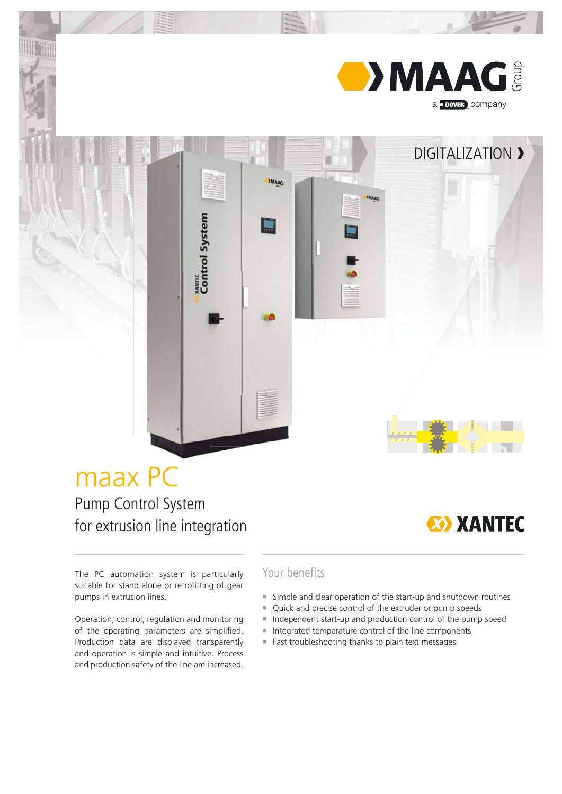

**DIGITALIZATION >** 

# maax PC

Pump Control System for extrusion line integration

xavric<br>Control System



The PC automation system is particularly suitable for stand alone or retrofitting of gear pumps in extrusion lines.

Operation, control, regulation and monitoring of the operating parameters are simplified. Production data are displayed transparently and operation is simple and intuitive. Process and production safety of the line are increased.

### Your benefits

- Simple and clear operation of the start-up and shutdown routines
- Quick and precise control of the extruder or pump speeds
- Independent start-up and production control of the pump speed
- Integrated temperature control of the line components
- Fast troubleshooting thanks to plain text messages